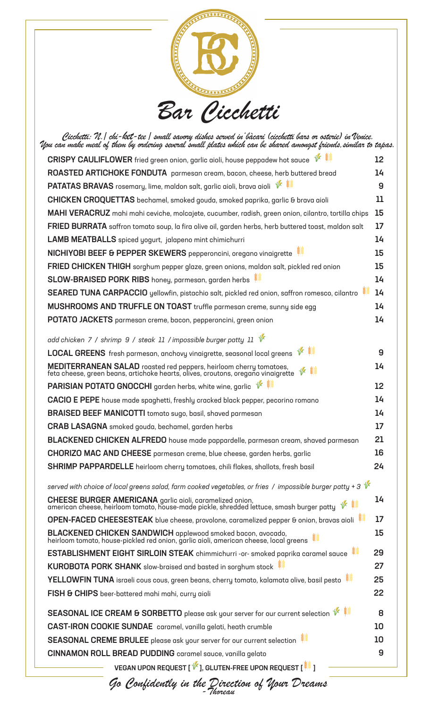

| .Cicchetti: N.  chi-ket-tee   small savory dishes served in <sup>i</sup> bàcari (cicchetti bars or osterie) in Venice<br>.Wou can make meal of them by ordering several small plates which can be shared amongst friends,similar to tapas |                   |
|-------------------------------------------------------------------------------------------------------------------------------------------------------------------------------------------------------------------------------------------|-------------------|
| CRISPY CAULIFLOWER fried green onion, garlic aioli, house peppadew hot sauce $\mathscr V$                                                                                                                                                 | $12 \overline{ }$ |
| ROASTED ARTICHOKE FONDUTA parmesan cream, bacon, cheese, herb buttered bread                                                                                                                                                              | 14                |
| <b>PATATAS BRAVAS</b> rosemary, lime, maldon salt, garlic aioli, brava aioli V                                                                                                                                                            | 9                 |
| CHICKEN CROQUETTAS bechamel, smoked gouda, smoked paprika, garlic & brava aioli                                                                                                                                                           | 11                |
| MAHI VERACRUZ mahi mahi ceviche, molcajete, cucumber, radish, green onion, cilantro, tortilla chips                                                                                                                                       | 15                |
| <b>FRIED BURRATA</b> saffron tomato soup, la fira olive oil, garden herbs, herb buttered toast, maldon salt                                                                                                                               | 17                |
| LAMB MEATBALLS spiced yogurt, jalapeno mint chimichurri                                                                                                                                                                                   | 14                |
| NICHIYOBI BEEF & PEPPER SKEWERS pepperoncini, oregano vinaigrette                                                                                                                                                                         | 15                |
| FRIED CHICKEN THIGH sorghum pepper glaze, green onions, maldon salt, pickled red onion                                                                                                                                                    | 15                |
| SLOW-BRAISED PORK RIBS honey, parmesan, garden herbs                                                                                                                                                                                      | 14                |
| SEARED TUNA CARPACCIO yellowfin, pistachio salt, pickled red onion, saffron romesco, cilantro                                                                                                                                             | 14                |
| MUSHROOMS AND TRUFFLE ON TOAST truffle parmesan creme, sunny side egg                                                                                                                                                                     | 14                |
| <b>POTATO JACKETS</b> parmesan creme, bacon, pepperoncini, green onion                                                                                                                                                                    | 14                |
| add chicken 7 / shrimp 9 / steak 11 / impossible burger patty 11 $\frac{1}{2}$                                                                                                                                                            |                   |
| 长姜<br><b>LOCAL GREENS</b> fresh parmesan, anchovy vinaigrette, seasonal local greens                                                                                                                                                      | 9                 |
| <b>MEDITERRANEAN SALAD</b> roasted red peppers, heirloom cherry tomatoes,<br>feta cheese, green beans, artichoke hearts, olives, croutons, oregano vinaigrette                                                                            | 14                |
| <b>PARISIAN POTATO GNOCCHI</b> garden herbs, white wine, garlic $\mathscr{V}$                                                                                                                                                             | 12                |
| CACIO E PEPE house made spaghetti, freshly cracked black pepper, pecorino romano                                                                                                                                                          | 14                |
| BRAISED BEEF MANICOTTI tomato sugo, basil, shaved parmesan                                                                                                                                                                                | 14                |
| <b>CRAB LASAGNA</b> smoked gouda, bechamel, garden herbs                                                                                                                                                                                  | 17                |
| <b>BLACKENED CHICKEN ALFREDO</b> house made pappardelle, parmesan cream, shaved parmesan                                                                                                                                                  | 21                |
| CHORIZO MAC AND CHEESE parmesan creme, blue cheese, garden herbs, garlic                                                                                                                                                                  | 16                |
| <b>SHRIMP PAPPARDELLE</b> heirloom cherry tomatoes, chili flakes, shallots, fresh basil                                                                                                                                                   | 24                |
| served with choice of local greens salad, farm cooked vegetables, or fries / impossible burger patty + 3 $\sqrt[k]{\epsilon}$                                                                                                             |                   |
| <b>CHEESE BURGER AMERICANA</b> garlic aioli, caramelized onion,<br>american cheese, heirloom tomato, house-made pickle, shredded lettuce, smash burger patty                                                                              | 14                |
| OPEN-FACED CHEESESTEAK blue cheese, provolone, caramelized pepper & onion, bravas aioli                                                                                                                                                   | 17                |
| BLACKENED CHICKEN SANDWICH applewood smoked bacon, avocado,<br>heirloom tomato, house-pickled red onion, garlic aioli, american cheese, local greens                                                                                      | 15                |
| ESTABLISHMENT EIGHT SIRLOIN STEAK chimmichurri -or- smoked paprika caramel sauce                                                                                                                                                          | 29                |
| KUROBOTA PORK SHANK slow-braised and basted in sorghum stock                                                                                                                                                                              | 27                |
| YELLOWFIN TUNA israeli cous cous, green beans, cherry tomato, kalamata olive, basil pesto                                                                                                                                                 | 25                |
| FISH & CHIPS beer-battered mahi mahi, curry aioli                                                                                                                                                                                         | 22                |
| SEASONAL ICE CREAM & SORBETTO please ask your server for our current selection $\overline{\mathscr{C}}$                                                                                                                                   | 8                 |
| <b>CAST-IRON COOKIE SUNDAE</b> caramel, vanilla gelati, heath crumble                                                                                                                                                                     | 10                |
| SEASONAL CREME BRULEE please ask your server for our current selection                                                                                                                                                                    | 10                |
| <b>CINNAMON ROLL BREAD PUDDING</b> caramel sauce, vanilla gelato                                                                                                                                                                          | 9                 |
| VEGAN UPON REQUEST [ V ], GLUTEN-FREE UPON REQUEST [ $\mathbb{S}$ ]                                                                                                                                                                       |                   |

*Go Confidently in the Direction of Your Dreams -Thoreau*